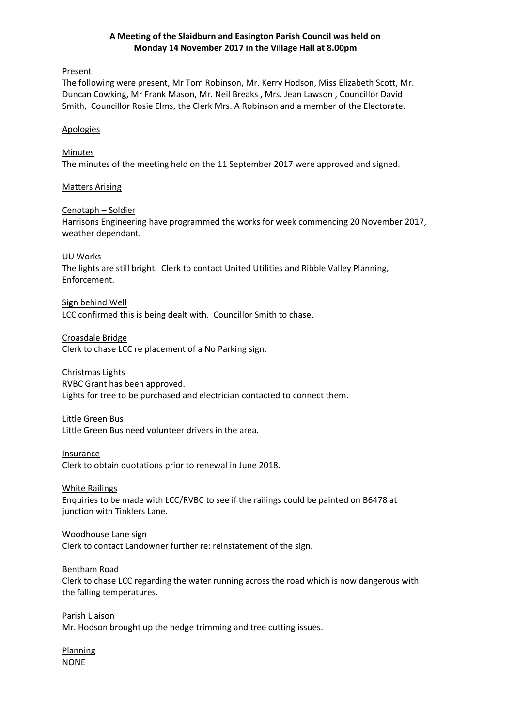# **A Meeting of the Slaidburn and Easington Parish Council was held on Monday 14 November 2017 in the Village Hall at 8.00pm**

#### Present

The following were present, Mr Tom Robinson, Mr. Kerry Hodson, Miss Elizabeth Scott, Mr. Duncan Cowking, Mr Frank Mason, Mr. Neil Breaks , Mrs. Jean Lawson , Councillor David Smith, Councillor Rosie Elms, the Clerk Mrs. A Robinson and a member of the Electorate.

#### Apologies

#### Minutes

The minutes of the meeting held on the 11 September 2017 were approved and signed.

#### Matters Arising

# Cenotaph – Soldier

Harrisons Engineering have programmed the works for week commencing 20 November 2017, weather dependant.

#### UU Works

The lights are still bright. Clerk to contact United Utilities and Ribble Valley Planning, Enforcement.

Sign behind Well LCC confirmed this is being dealt with. Councillor Smith to chase.

Croasdale Bridge

Clerk to chase LCC re placement of a No Parking sign.

# Christmas Lights

RVBC Grant has been approved.

Lights for tree to be purchased and electrician contacted to connect them.

## Little Green Bus

Little Green Bus need volunteer drivers in the area.

## **Insurance**

Clerk to obtain quotations prior to renewal in June 2018.

#### White Railings

Enquiries to be made with LCC/RVBC to see if the railings could be painted on B6478 at junction with Tinklers Lane.

#### Woodhouse Lane sign

Clerk to contact Landowner further re: reinstatement of the sign.

## Bentham Road

Clerk to chase LCC regarding the water running across the road which is now dangerous with the falling temperatures.

Parish Liaison Mr. Hodson brought up the hedge trimming and tree cutting issues.

Planning NONE